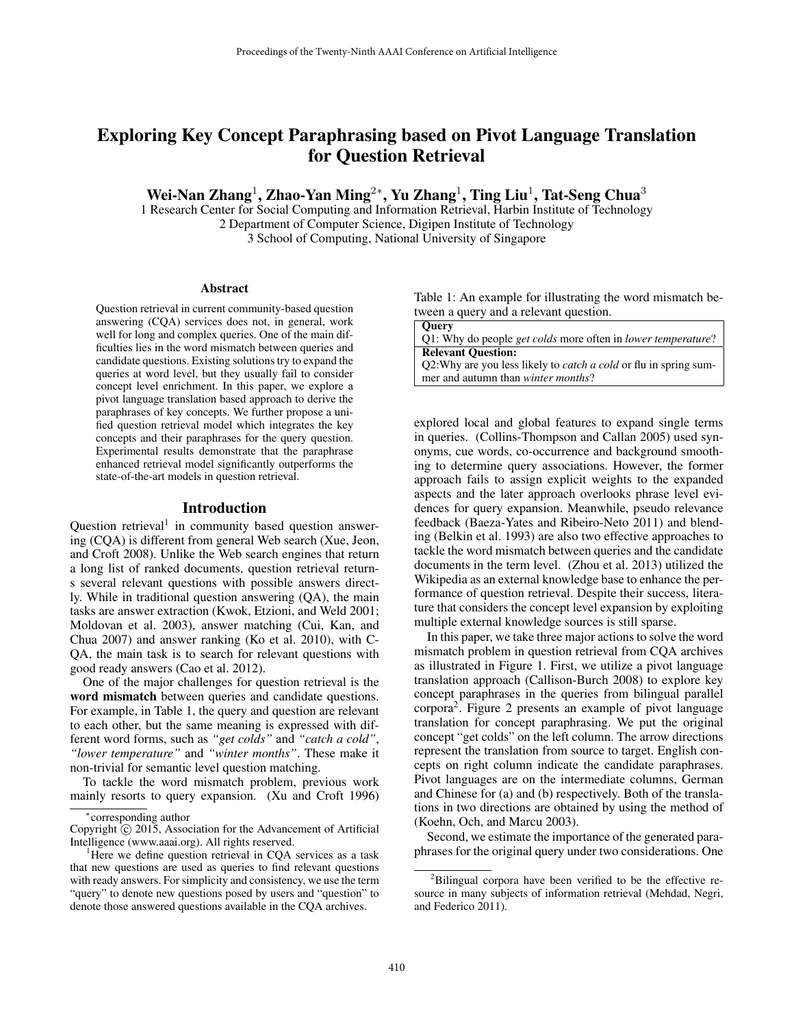# Exploring Key Concept Paraphrasing based on Pivot Language Translation for Question Retrieval

Wei-Nan Zhang<sup>1</sup>, Zhao-Yan Ming<sup>2\*</sup>, Yu Zhang<sup>1</sup>, Ting Liu<sup>1</sup>, Tat-Seng Chua<sup>3</sup>

1 Research Center for Social Computing and Information Retrieval, Harbin Institute of Technology 2 Department of Computer Science, Digipen Institute of Technology 3 School of Computing, National University of Singapore

#### Abstract

Question retrieval in current community-based question answering (CQA) services does not, in general, work well for long and complex queries. One of the main difficulties lies in the word mismatch between queries and candidate questions. Existing solutions try to expand the queries at word level, but they usually fail to consider concept level enrichment. In this paper, we explore a pivot language translation based approach to derive the paraphrases of key concepts. We further propose a unified question retrieval model which integrates the key concepts and their paraphrases for the query question. Experimental results demonstrate that the paraphrase enhanced retrieval model significantly outperforms the state-of-the-art models in question retrieval.

### Introduction

Question retrieval<sup>1</sup> in community based question answering (CQA) is different from general Web search (Xue, Jeon, and Croft 2008). Unlike the Web search engines that return a long list of ranked documents, question retrieval returns several relevant questions with possible answers directly. While in traditional question answering (QA), the main tasks are answer extraction (Kwok, Etzioni, and Weld 2001; Moldovan et al. 2003), answer matching (Cui, Kan, and Chua 2007) and answer ranking (Ko et al. 2010), with C-QA, the main task is to search for relevant questions with good ready answers (Cao et al. 2012).

One of the major challenges for question retrieval is the word mismatch between queries and candidate questions. For example, in Table 1, the query and question are relevant to each other, but the same meaning is expressed with different word forms, such as *"get colds"* and *"catch a cold"*, *"lower temperature"* and *"winter months"*. These make it non-trivial for semantic level question matching.

To tackle the word mismatch problem, previous work mainly resorts to query expansion. (Xu and Croft 1996)

Table 1: An example for illustrating the word mismatch between a query and a relevant question.

| <b>Ouery</b>                                                                |
|-----------------------------------------------------------------------------|
| Q1: Why do people <i>get colds</i> more often in <i>lower temperature</i> ? |
| <b>Relevant Ouestion:</b>                                                   |
| Q2: Why are you less likely to <i>catch a cold</i> or flu in spring sum-    |
| mer and autumn than <i>winter months</i> ?                                  |

explored local and global features to expand single terms in queries. (Collins-Thompson and Callan 2005) used synonyms, cue words, co-occurrence and background smoothing to determine query associations. However, the former approach fails to assign explicit weights to the expanded aspects and the later approach overlooks phrase level evidences for query expansion. Meanwhile, pseudo relevance feedback (Baeza-Yates and Ribeiro-Neto 2011) and blending (Belkin et al. 1993) are also two effective approaches to tackle the word mismatch between queries and the candidate documents in the term level. (Zhou et al. 2013) utilized the Wikipedia as an external knowledge base to enhance the performance of question retrieval. Despite their success, literature that considers the concept level expansion by exploiting multiple external knowledge sources is still sparse.

In this paper, we take three major actions to solve the word mismatch problem in question retrieval from CQA archives as illustrated in Figure 1. First, we utilize a pivot language translation approach (Callison-Burch 2008) to explore key concept paraphrases in the queries from bilingual parallel corpora2. Figure 2 presents an example of pivot language translation for concept paraphrasing. We put the original concept "get colds" on the left column. The arrow directions represent the translation from source to target. English concepts on right column indicate the candidate paraphrases. Pivot languages are on the intermediate columns, German and Chinese for (a) and (b) respectively. Both of the translations in two directions are obtained by using the method of (Koehn, Och, and Marcu 2003).

Second, we estimate the importance of the generated paraphrases for the original query under two considerations. One

corresponding author

Copyright C 2015, Association for the Advancement of Artificial Intelligence (www.aaai.org). All rights reserved.

<sup>&</sup>lt;sup>1</sup>Here we define question retrieval in CQA services as a task that new questions are used as queries to find relevant questions with ready answers. For simplicity and consistency, we use the term "query" to denote new questions posed by users and "question" to denote those answered questions available in the CQA archives.

 $2$ Bilingual corpora have been verified to be the effective resource in many subjects of information retrieval (Mehdad, Negri, and Federico 2011).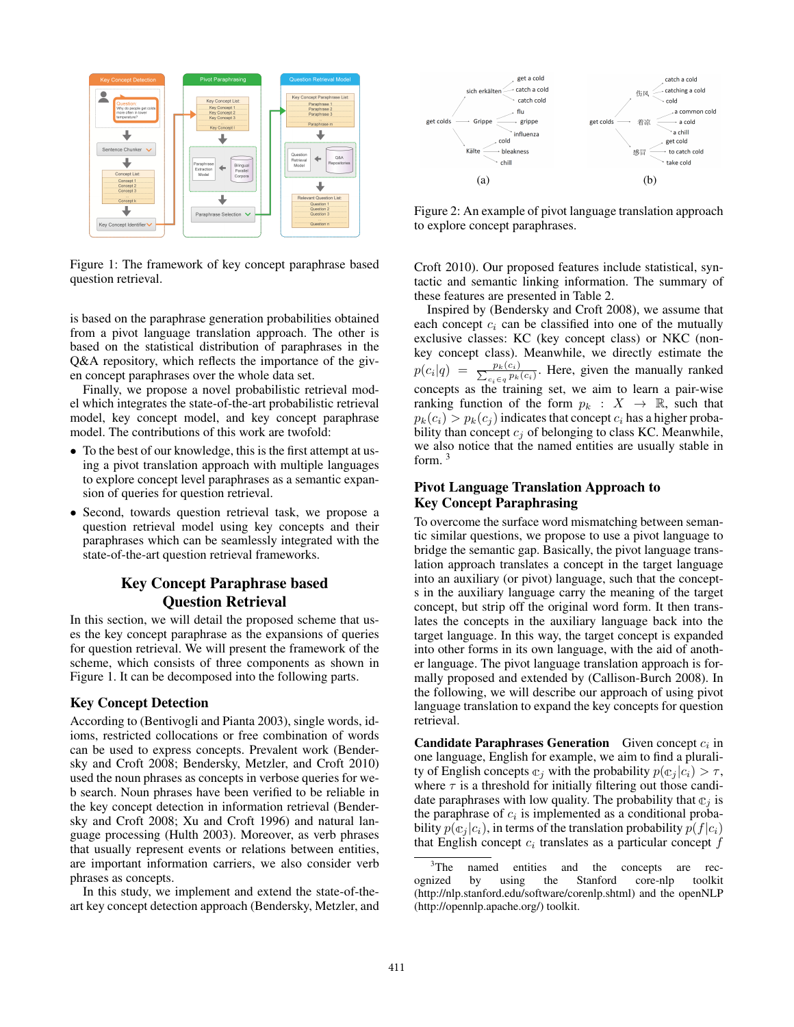

Figure 1: The framework of key concept paraphrase based question retrieval.

is based on the paraphrase generation probabilities obtained from a pivot language translation approach. The other is based on the statistical distribution of paraphrases in the Q&A repository, which reflects the importance of the given concept paraphrases over the whole data set.

Finally, we propose a novel probabilistic retrieval model which integrates the state-of-the-art probabilistic retrieval model, key concept model, and key concept paraphrase model. The contributions of this work are twofold:

- *•* To the best of our knowledge, this is the first attempt at using a pivot translation approach with multiple languages to explore concept level paraphrases as a semantic expansion of queries for question retrieval.
- *•* Second, towards question retrieval task, we propose a question retrieval model using key concepts and their paraphrases which can be seamlessly integrated with the state-of-the-art question retrieval frameworks.

# Key Concept Paraphrase based Question Retrieval

In this section, we will detail the proposed scheme that uses the key concept paraphrase as the expansions of queries for question retrieval. We will present the framework of the scheme, which consists of three components as shown in Figure 1. It can be decomposed into the following parts.

# Key Concept Detection

According to (Bentivogli and Pianta 2003), single words, idioms, restricted collocations or free combination of words can be used to express concepts. Prevalent work (Bendersky and Croft 2008; Bendersky, Metzler, and Croft 2010) used the noun phrases as concepts in verbose queries for web search. Noun phrases have been verified to be reliable in the key concept detection in information retrieval (Bendersky and Croft 2008; Xu and Croft 1996) and natural language processing (Hulth 2003). Moreover, as verb phrases that usually represent events or relations between entities, are important information carriers, we also consider verb phrases as concepts.

In this study, we implement and extend the state-of-theart key concept detection approach (Bendersky, Metzler, and



Figure 2: An example of pivot language translation approach to explore concept paraphrases.

Croft 2010). Our proposed features include statistical, syntactic and semantic linking information. The summary of these features are presented in Table 2.

Inspired by (Bendersky and Croft 2008), we assume that each concept  $c_i$  can be classified into one of the mutually exclusive classes: KC (key concept class) or NKC (nonkey concept class). Meanwhile, we directly estimate the  $p(c_i|q) = \frac{p_k(c_i)}{\sum_{c_i \in q} p_k(c_i)}$ . Here, given the manually ranked concepts as the training set, we aim to learn a pair-wise ranking function of the form  $p_k : X \to \mathbb{R}$ , such that  $p_k(c_i) > p_k(c_j)$  indicates that concept  $c_i$  has a higher probability than concept  $c_j$  of belonging to class KC. Meanwhile, we also notice that the named entities are usually stable in form. <sup>3</sup>

### Pivot Language Translation Approach to Key Concept Paraphrasing

To overcome the surface word mismatching between semantic similar questions, we propose to use a pivot language to bridge the semantic gap. Basically, the pivot language translation approach translates a concept in the target language into an auxiliary (or pivot) language, such that the concepts in the auxiliary language carry the meaning of the target concept, but strip off the original word form. It then translates the concepts in the auxiliary language back into the target language. In this way, the target concept is expanded into other forms in its own language, with the aid of another language. The pivot language translation approach is formally proposed and extended by (Callison-Burch 2008). In the following, we will describe our approach of using pivot language translation to expand the key concepts for question retrieval.

Candidate Paraphrases Generation Given concept *c<sup>i</sup>* in one language, English for example, we aim to find a plurality of English concepts  $\mathbb{c}_i$  with the probability  $p(\mathbb{c}_i | c_i) > \tau$ , where  $\tau$  is a threshold for initially filtering out those candidate paraphrases with low quality. The probability that  $\mathbb{c}_i$  is the paraphrase of  $c_i$  is implemented as a conditional probability  $p(\mathfrak{C}_i | c_i)$ , in terms of the translation probability  $p(f|c_i)$ that English concept  $c_i$  translates as a particular concept  $f$ 

 $3$ The named entities and the concepts are recognized by using the Stanford core-nlp toolkit (http://nlp.stanford.edu/software/corenlp.shtml) and the openNLP (http://opennlp.apache.org/) toolkit.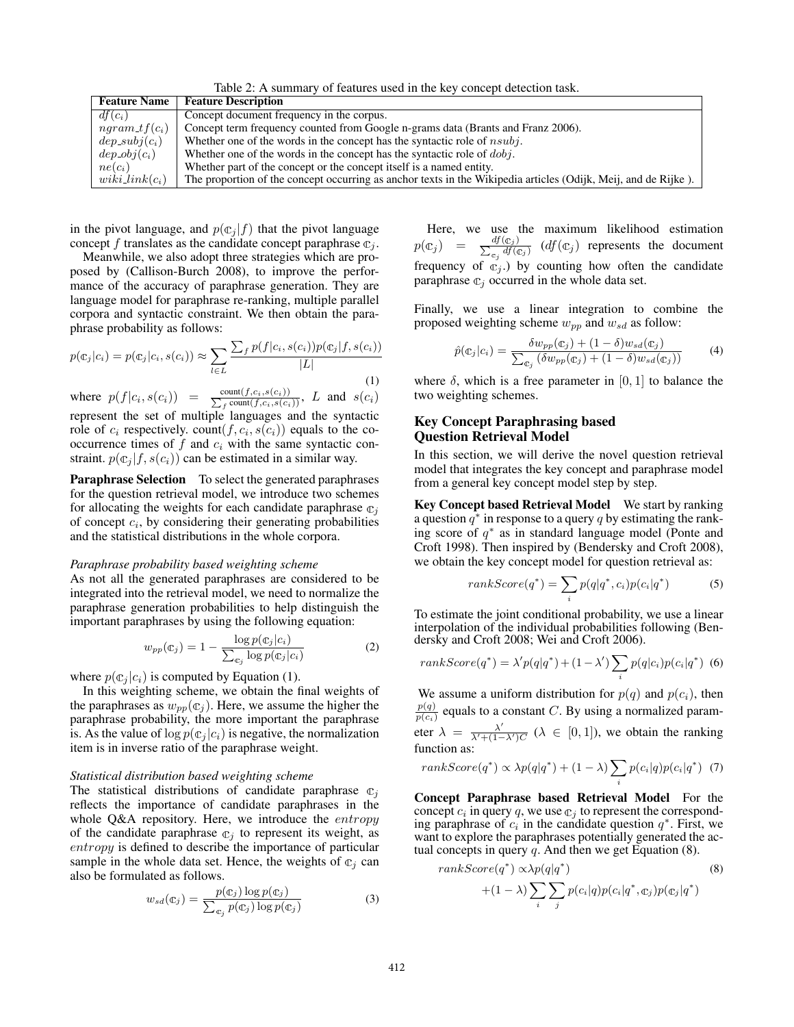Table 2: A summary of features used in the key concept detection task. Feature Name | Feature Description  $df(c_i)$  Concept document frequency in the corpus.<br> *ngram*  $tf(c_i)$  Concept term frequency counted from Goog *ngram*  $tf(c_i)$  Concept term frequency counted from Google n-grams data (Brants and Franz 2006).<br>dep\_subj( $c_i$ ) Whether one of the words in the concept has the syntactic role of *nsubj*. *dep\_subj*( $c_i$ ) Whether one of the words in the concept has the syntactic role of *nsubj*.<br>Whether one of the words in the concept has the syntactic role of *dobj*. Whether one of the words in the concept has the syntactic role of  $dobj$ .  $ne(c_i)$  Whether part of the concept or the concept itself is a named entity.  $wiki\text{ }link(c_i)$  The proportion of the concept occurring as anchor texts in the Wikipedia articles (Odijk, Meij, and de Rijke).

in the pivot language, and  $p(c_i|f)$  that the pivot language concept *f* translates as the candidate concept paraphrase  $\mathbb{c}_i$ .

Meanwhile, we also adopt three strategies which are proposed by (Callison-Burch 2008), to improve the performance of the accuracy of paraphrase generation. They are language model for paraphrase re-ranking, multiple parallel corpora and syntactic constraint. We then obtain the paraphrase probability as follows:

$$
p(\mathbf{c}_j|c_i) = p(\mathbf{c}_j|c_i, s(c_i)) \approx \sum_{l \in L} \frac{\sum_f p(f|c_i, s(c_i)) p(\mathbf{c}_j|f, s(c_i))}{|L|}
$$
\n(1)

where  $p(f|c_i, s(c_i)) = \frac{\text{count}(f,c_i,s(c_i))}{\sum_f \text{count}(f,c_i,s(c_i))}, L$  and  $s(c_i)$ represent the set of multiple languages and the syntactic role of  $c_i$  respectively. count( $f, c_i, s(c_i)$ ) equals to the cooccurrence times of *f* and *c<sup>i</sup>* with the same syntactic constraint.  $p(c_j | f, s(c_i))$  can be estimated in a similar way.

Paraphrase Selection To select the generated paraphrases for the question retrieval model, we introduce two schemes for allocating the weights for each candidate paraphrase  $\mathbb{c}_i$ of concept *ci*, by considering their generating probabilities and the statistical distributions in the whole corpora.

#### *Paraphrase probability based weighting scheme*

As not all the generated paraphrases are considered to be integrated into the retrieval model, we need to normalize the paraphrase generation probabilities to help distinguish the important paraphrases by using the following equation:

$$
w_{pp}(\mathbf{c}_j) = 1 - \frac{\log p(\mathbf{c}_j | c_i)}{\sum_{\mathbf{c}_j} \log p(\mathbf{c}_j | c_i)}\tag{2}
$$

where  $p(c_i|c_i)$  is computed by Equation (1).

In this weighting scheme, we obtain the final weights of the paraphrases as  $w_{pp}(\mathfrak{C}_j)$ . Here, we assume the higher the paraphrase probability, the more important the paraphrase is. As the value of  $\log p(\mathfrak{C}_i | c_i)$  is negative, the normalization item is in inverse ratio of the paraphrase weight.

#### *Statistical distribution based weighting scheme*

The statistical distributions of candidate paraphrase  $\mathbb{C}_i$ reflects the importance of candidate paraphrases in the whole Q&A repository. Here, we introduce the *entropy* of the candidate paraphrase  $\mathbb{c}_j$  to represent its weight, as *entropy* is defined to describe the importance of particular sample in the whole data set. Hence, the weights of  $\mathfrak{c}_i$  can also be formulated as follows.

$$
w_{sd}(\mathbf{c}_j) = \frac{p(\mathbf{c}_j) \log p(\mathbf{c}_j)}{\sum_{\mathbf{c}_j} p(\mathbf{c}_j) \log p(\mathbf{c}_j)}
$$
(3)

Here, we use the maximum likelihood estimation  $p(x_j) = \frac{df(c_j)}{\sum_{c_j} df(c_j)}$  (*df*( $c_j$ ) represents the document frequency of  $\mathfrak{C}_j$ .) by counting how often the candidate paraphrase  $\mathbb{c}_i$  occurred in the whole data set.

Finally, we use a linear integration to combine the proposed weighting scheme *wpp* and *wsd* as follow:

$$
\hat{p}(\mathbf{c}_j|\mathbf{c}_i) = \frac{\delta w_{pp}(\mathbf{c}_j) + (1-\delta)w_{sd}(\mathbf{c}_j)}{\sum_{\mathbf{c}_j} (\delta w_{pp}(\mathbf{c}_j) + (1-\delta)w_{sd}(\mathbf{c}_j))}
$$
(4)

where  $\delta$ , which is a free parameter in [0, 1] to balance the two weighting schemes.

### Key Concept Paraphrasing based Question Retrieval Model

In this section, we will derive the novel question retrieval model that integrates the key concept and paraphrase model from a general key concept model step by step.

Key Concept based Retrieval Model We start by ranking a question  $q^*$  in response to a query  $q$  by estimating the ranking score of  $q^*$  as in standard language model (Ponte and Croft 1998). Then inspired by (Bendersky and Croft 2008), we obtain the key concept model for question retrieval as:

$$
rankScore(q^*) = \sum_{i} p(q|q^*, c_i) p(c_i|q^*)
$$
 (5)

To estimate the joint conditional probability, we use a linear interpolation of the individual probabilities following (Bendersky and Croft 2008; Wei and Croft 2006).

$$
rankScore(q^*) = \lambda' p(q|q^*) + (1 - \lambda') \sum_{i} p(q|c_i) p(c_i|q^*)
$$
 (6)

We assume a uniform distribution for  $p(q)$  and  $p(c_i)$ , then  $\frac{p(q)}{p(c_i)}$  equals to a constant *C*. By using a normalized parameter  $\lambda = \frac{\lambda'}{\lambda' + (1 - \lambda')C}$  ( $\lambda \in [0, 1]$ ), we obtain the ranking function as:

*rankScore*(*q*⇤) / *p*(*q|q*⇤) + (1 ) X *i p*(*ci|q*)*p*(*ci|q*⇤) (7)

Concept Paraphrase based Retrieval Model For the concept  $c_i$  in query q, we use  $c_j$  to represent the corresponding paraphrase of  $c_i$  in the candidate question  $q^*$ . First, we want to explore the paraphrases potentially generated the actual concepts in query  $q$ . And then we get Equation  $(8)$ .

$$
rankScore(q^*) \propto \lambda p(q|q^*)
$$
\n
$$
+(1-\lambda) \sum_{i} \sum_{j} p(c_i|q) p(c_i|q^*, \mathbf{C}_j) p(\mathbf{C}_j|q^*)
$$
\n(8)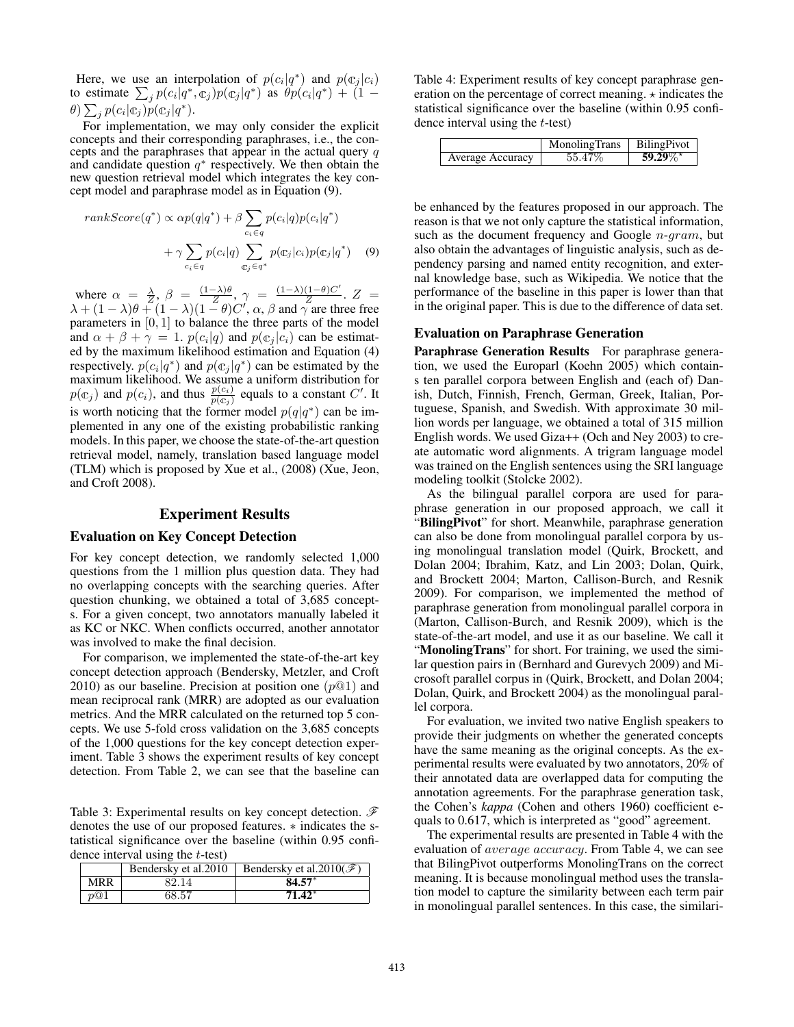Here, we use an interpolation of  $p(c_i|q^*)$  and  $p(c_i|c_i)$ to estimate  $\sum_{j} p(c_i|q^*, \mathbf{c}_j) p(\mathbf{c}_j|q^*)$  as  $\theta p(c_i|q^*) + (1 - \mathbf{c}_j) p(c_i|q^*)$  $\theta$ )  $\sum_{j} p(c_i | \mathfrak{C}_j) p(\mathfrak{C}_j | q^*).$ 

For implementation, we may only consider the explicit concepts and their corresponding paraphrases, i.e., the concepts and the paraphrases that appear in the actual query *q* and candidate question  $q^*$  respectively. We then obtain the new question retrieval model which integrates the key concept model and paraphrase model as in Equation (9).

$$
rankScore(q^*) \propto \alpha p(q|q^*) + \beta \sum_{c_i \in q} p(c_i|q)p(c_i|q^*)
$$

$$
+ \gamma \sum_{c_i \in q} p(c_i|q) \sum_{\mathfrak{C}_j \in q^*} p(\mathfrak{C}_j|c_i)p(\mathfrak{C}_j|q^*) \quad (9)
$$

where  $\alpha = \frac{\lambda}{Z}, \beta = \frac{(1-\lambda)\theta}{Z}, \gamma = \frac{(1-\lambda)(1-\theta)C'}{Z}$ .  $Z =$  $\lambda + (1 - \lambda)\theta + (1 - \lambda)(1 - \theta)C'$ ,  $\alpha$ ,  $\beta$  and  $\gamma$  are three free parameters in [0*,* 1] to balance the three parts of the model and  $\alpha + \beta + \gamma = 1$ .  $p(c_i|q)$  and  $p(c_j|c_i)$  can be estimated by the maximum likelihood estimation and Equation (4) respectively.  $p(c_i|q^*)$  and  $p(c_i|q^*)$  can be estimated by the maximum likelihood. We assume a uniform distribution for  $p(\mathbb{c}_j)$  and  $p(c_i)$ , and thus  $\frac{p(c_i)}{p(\mathbb{c}_j)}$  equals to a constant *C'*. It is worth noticing that the former model  $p(q|q^*)$  can be implemented in any one of the existing probabilistic ranking models. In this paper, we choose the state-of-the-art question retrieval model, namely, translation based language model (TLM) which is proposed by Xue et al., (2008) (Xue, Jeon, and Croft 2008).

#### Experiment Results

#### Evaluation on Key Concept Detection

For key concept detection, we randomly selected 1,000 questions from the 1 million plus question data. They had no overlapping concepts with the searching queries. After question chunking, we obtained a total of 3,685 concepts. For a given concept, two annotators manually labeled it as KC or NKC. When conflicts occurred, another annotator was involved to make the final decision.

For comparison, we implemented the state-of-the-art key concept detection approach (Bendersky, Metzler, and Croft 2010) as our baseline. Precision at position one (*p*@1) and mean reciprocal rank (MRR) are adopted as our evaluation metrics. And the MRR calculated on the returned top 5 concepts. We use 5-fold cross validation on the 3,685 concepts of the 1,000 questions for the key concept detection experiment. Table 3 shows the experiment results of key concept detection. From Table 2, we can see that the baseline can

Table 3: Experimental results on key concept detection. *F* denotes the use of our proposed features.  $*$  indicates the statistical significance over the baseline (within 0.95 confidence interval using the *t*-test)

|     |       | Bendersky et al. 2010   Bendersky et al. 2010 $(\mathscr{F})$ |
|-----|-------|---------------------------------------------------------------|
| MRR | 82.14 | $84.57*$                                                      |
| n@1 | 68.57 | $71.42*$                                                      |

Table 4: Experiment results of key concept paraphrase generation on the percentage of correct meaning.  $\star$  indicates the statistical significance over the baseline (within 0.95 confidence interval using the *t*-test)

|                  | MonolingTrans | <b>BilingPivot</b> |
|------------------|---------------|--------------------|
| Average Accuracy | 55.47\%       | $59.29\%$ *        |

be enhanced by the features proposed in our approach. The reason is that we not only capture the statistical information, such as the document frequency and Google *n*-*gram*, but also obtain the advantages of linguistic analysis, such as dependency parsing and named entity recognition, and external knowledge base, such as Wikipedia. We notice that the performance of the baseline in this paper is lower than that in the original paper. This is due to the difference of data set.

#### Evaluation on Paraphrase Generation

Paraphrase Generation Results For paraphrase generation, we used the Europarl (Koehn 2005) which contains ten parallel corpora between English and (each of) Danish, Dutch, Finnish, French, German, Greek, Italian, Portuguese, Spanish, and Swedish. With approximate 30 million words per language, we obtained a total of 315 million English words. We used Giza++ (Och and Ney 2003) to create automatic word alignments. A trigram language model was trained on the English sentences using the SRI language modeling toolkit (Stolcke 2002).

As the bilingual parallel corpora are used for paraphrase generation in our proposed approach, we call it "BilingPivot" for short. Meanwhile, paraphrase generation can also be done from monolingual parallel corpora by using monolingual translation model (Quirk, Brockett, and Dolan 2004; Ibrahim, Katz, and Lin 2003; Dolan, Quirk, and Brockett 2004; Marton, Callison-Burch, and Resnik 2009). For comparison, we implemented the method of paraphrase generation from monolingual parallel corpora in (Marton, Callison-Burch, and Resnik 2009), which is the state-of-the-art model, and use it as our baseline. We call it "MonolingTrans" for short. For training, we used the similar question pairs in (Bernhard and Gurevych 2009) and Microsoft parallel corpus in (Quirk, Brockett, and Dolan 2004; Dolan, Quirk, and Brockett 2004) as the monolingual parallel corpora.

For evaluation, we invited two native English speakers to provide their judgments on whether the generated concepts have the same meaning as the original concepts. As the experimental results were evaluated by two annotators, 20% of their annotated data are overlapped data for computing the annotation agreements. For the paraphrase generation task, the Cohen's *kappa* (Cohen and others 1960) coefficient equals to 0.617, which is interpreted as "good" agreement.

The experimental results are presented in Table 4 with the evaluation of *average accuracy*. From Table 4, we can see that BilingPivot outperforms MonolingTrans on the correct meaning. It is because monolingual method uses the translation model to capture the similarity between each term pair in monolingual parallel sentences. In this case, the similari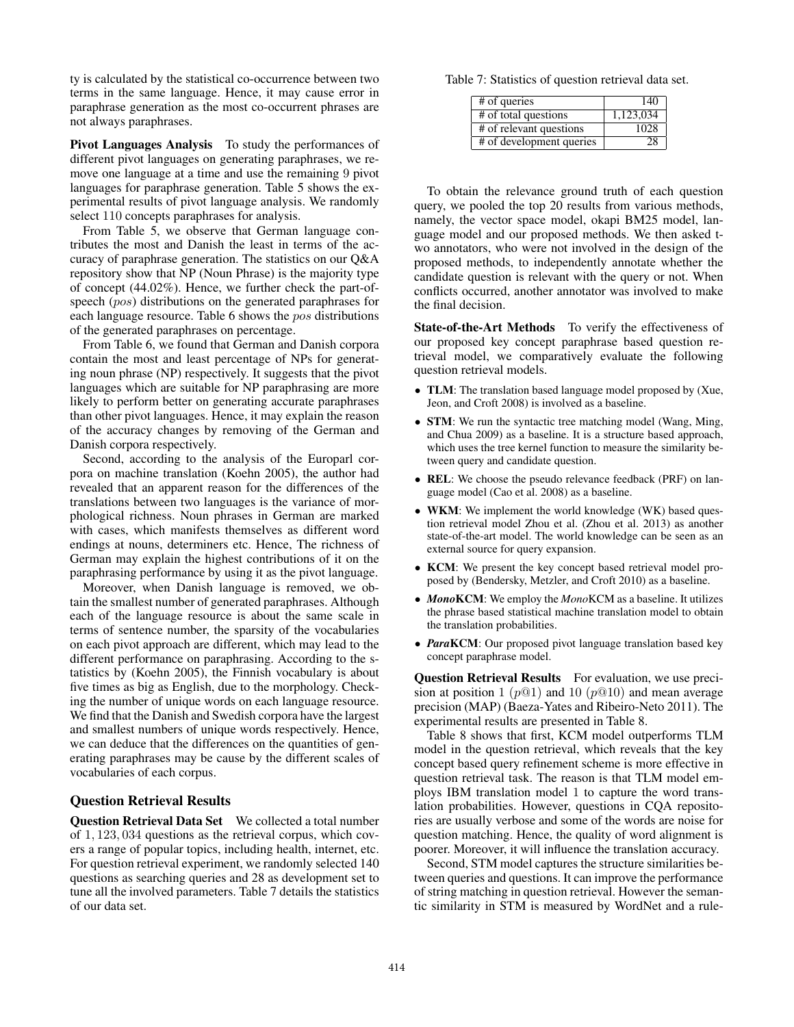ty is calculated by the statistical co-occurrence between two terms in the same language. Hence, it may cause error in paraphrase generation as the most co-occurrent phrases are not always paraphrases.

Pivot Languages Analysis To study the performances of different pivot languages on generating paraphrases, we remove one language at a time and use the remaining 9 pivot languages for paraphrase generation. Table 5 shows the experimental results of pivot language analysis. We randomly select 110 concepts paraphrases for analysis.

From Table 5, we observe that German language contributes the most and Danish the least in terms of the accuracy of paraphrase generation. The statistics on our Q&A repository show that NP (Noun Phrase) is the majority type of concept (44.02%). Hence, we further check the part-ofspeech (*pos*) distributions on the generated paraphrases for each language resource. Table 6 shows the *pos* distributions of the generated paraphrases on percentage.

From Table 6, we found that German and Danish corpora contain the most and least percentage of NPs for generating noun phrase (NP) respectively. It suggests that the pivot languages which are suitable for NP paraphrasing are more likely to perform better on generating accurate paraphrases than other pivot languages. Hence, it may explain the reason of the accuracy changes by removing of the German and Danish corpora respectively.

Second, according to the analysis of the Europarl corpora on machine translation (Koehn 2005), the author had revealed that an apparent reason for the differences of the translations between two languages is the variance of morphological richness. Noun phrases in German are marked with cases, which manifests themselves as different word endings at nouns, determiners etc. Hence, The richness of German may explain the highest contributions of it on the paraphrasing performance by using it as the pivot language.

Moreover, when Danish language is removed, we obtain the smallest number of generated paraphrases. Although each of the language resource is about the same scale in terms of sentence number, the sparsity of the vocabularies on each pivot approach are different, which may lead to the different performance on paraphrasing. According to the statistics by (Koehn 2005), the Finnish vocabulary is about five times as big as English, due to the morphology. Checking the number of unique words on each language resource. We find that the Danish and Swedish corpora have the largest and smallest numbers of unique words respectively. Hence, we can deduce that the differences on the quantities of generating paraphrases may be cause by the different scales of vocabularies of each corpus.

### Question Retrieval Results

Question Retrieval Data Set We collected a total number of 1*,* 123*,* 034 questions as the retrieval corpus, which covers a range of popular topics, including health, internet, etc. For question retrieval experiment, we randomly selected 140 questions as searching queries and 28 as development set to tune all the involved parameters. Table 7 details the statistics of our data set.

Table 7: Statistics of question retrieval data set.

| # of queries             | 140       |
|--------------------------|-----------|
| # of total questions     | 1,123,034 |
| # of relevant questions  | 1028      |
| # of development queries | 28.       |

To obtain the relevance ground truth of each question query, we pooled the top 20 results from various methods, namely, the vector space model, okapi BM25 model, language model and our proposed methods. We then asked two annotators, who were not involved in the design of the proposed methods, to independently annotate whether the candidate question is relevant with the query or not. When conflicts occurred, another annotator was involved to make the final decision.

State-of-the-Art Methods To verify the effectiveness of our proposed key concept paraphrase based question retrieval model, we comparatively evaluate the following question retrieval models.

- **TLM**: The translation based language model proposed by (Xue, Jeon, and Croft 2008) is involved as a baseline.
- *•* STM: We run the syntactic tree matching model (Wang, Ming, and Chua 2009) as a baseline. It is a structure based approach, which uses the tree kernel function to measure the similarity between query and candidate question.
- *•* REL: We choose the pseudo relevance feedback (PRF) on language model (Cao et al. 2008) as a baseline.
- WKM: We implement the world knowledge (WK) based question retrieval model Zhou et al. (Zhou et al. 2013) as another state-of-the-art model. The world knowledge can be seen as an external source for query expansion.
- *•* KCM: We present the key concept based retrieval model proposed by (Bendersky, Metzler, and Croft 2010) as a baseline.
- *• Mono*KCM: We employ the *Mono*KCM as a baseline. It utilizes the phrase based statistical machine translation model to obtain the translation probabilities.
- *• Para*KCM: Our proposed pivot language translation based key concept paraphrase model.

Question Retrieval Results For evaluation, we use precision at position 1 ( $p@1$ ) and 10 ( $p@10$ ) and mean average precision (MAP) (Baeza-Yates and Ribeiro-Neto 2011). The experimental results are presented in Table 8.

Table 8 shows that first, KCM model outperforms TLM model in the question retrieval, which reveals that the key concept based query refinement scheme is more effective in question retrieval task. The reason is that TLM model employs IBM translation model 1 to capture the word translation probabilities. However, questions in CQA repositories are usually verbose and some of the words are noise for question matching. Hence, the quality of word alignment is poorer. Moreover, it will influence the translation accuracy.

Second, STM model captures the structure similarities between queries and questions. It can improve the performance of string matching in question retrieval. However the semantic similarity in STM is measured by WordNet and a rule-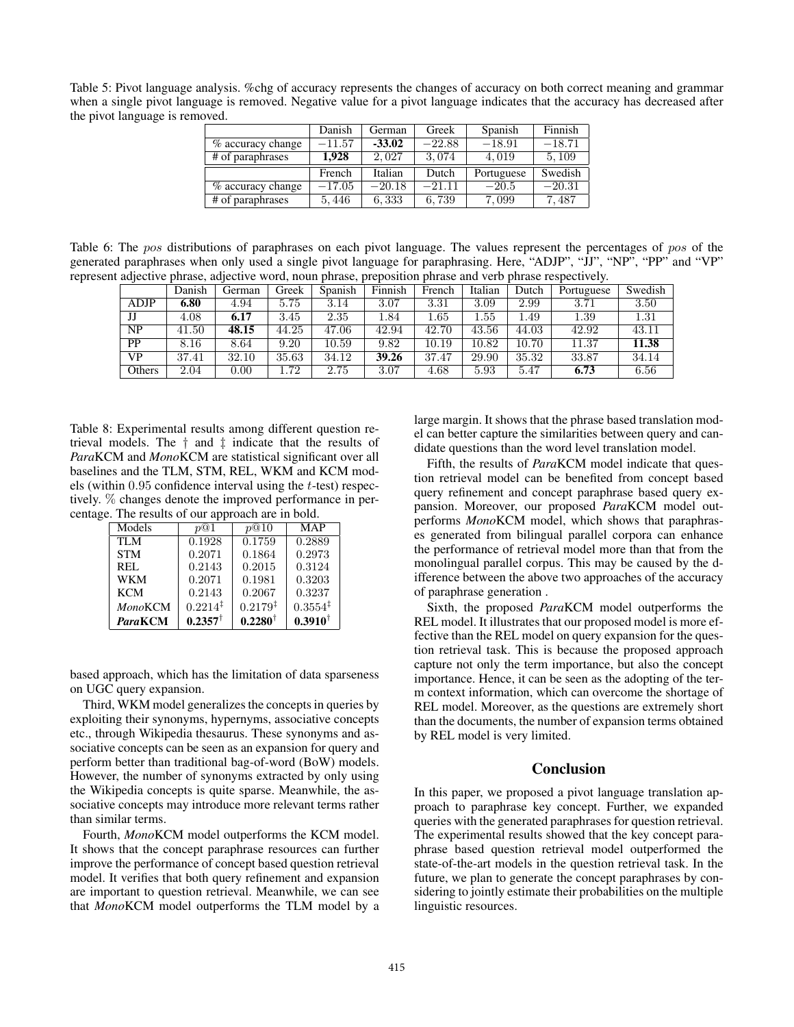Table 5: Pivot language analysis. %chg of accuracy represents the changes of accuracy on both correct meaning and grammar when a single pivot language is removed. Negative value for a pivot language indicates that the accuracy has decreased after the pivot language is removed.

|                   | Danish   | German   | Greek    | Spanish    | Finnish  |
|-------------------|----------|----------|----------|------------|----------|
| % accuracy change | $-11.57$ | $-33.02$ | $-22.88$ | $-18.91$   | $-18.71$ |
| # of paraphrases  | 1.928    | 2.027    | 3.074    | 4.019      | 5.109    |
|                   |          |          |          |            |          |
|                   | French   | Italian  | Dutch    | Portuguese | Swedish  |
| % accuracy change | $-17.05$ | $-20.18$ | $-21.11$ | $-20.5$    | $-20.31$ |

Table 6: The *pos* distributions of paraphrases on each pivot language. The values represent the percentages of *pos* of the generated paraphrases when only used a single pivot language for paraphrasing. Here, "ADJP", "JJ", "NP", "PP" and "VP" represent adjective phrase, adjective word, noun phrase, preposition phrase and verb phrase respectively.

|             | Danish | German | Greek | Spanish | Finnish | French   | Italian  | Dutch | Portuguese | Swedish |
|-------------|--------|--------|-------|---------|---------|----------|----------|-------|------------|---------|
| <b>ADJP</b> | 6.80   | 4.94   | 5.75  | 3.14    | 3.07    | 3.31     | 3.09     | 2.99  | 3.71       | 3.50    |
| IJ          | 4.08   | 6.17   | 3.45  | 2.35    | 1.84    | $1.65\,$ | $1.55\,$ | l.49  | 1.39       | 1.31    |
| NP          | 41.50  | 48.15  | 44.25 | 47.06   | 42.94   | 42.70    | 43.56    | 44.03 | 42.92      | 43.11   |
| PP          | 8.16   | 8.64   | 9.20  | 10.59   | 9.82    | 10.19    | 10.82    | 10.70 | 11.37      | 11.38   |
| VP          | 37.41  | 32.10  | 35.63 | 34.12   | 39.26   | 37.47    | 29.90    | 35.32 | 33.87      | 34.14   |
| Others      | 2.04   | 0.00   | .72   | 2.75    | 3.07    | 4.68     | 5.93     | 5.47  | 6.73       | 6.56    |

Table 8: Experimental results among different question retrieval models. The *†* and *‡* indicate that the results of *Para*KCM and *Mono*KCM are statistical significant over all baselines and the TLM, STM, REL, WKM and KCM models (within 0*.*95 confidence interval using the *t*-test) respectively. % changes denote the improved performance in percentage. The results of our approach are in bold.

| Models         | p@1                   | p@10                | <b>MAP</b>          |
|----------------|-----------------------|---------------------|---------------------|
| TI M           | 0.1928                | 0.1759              | 0.2889              |
| <b>STM</b>     | 0.2071                | 0.1864              | 0.2973              |
| REL            | 0.2143                | 0.2015              | 0.3124              |
| <b>WKM</b>     | 0.2071                | 0.1981              | 0.3203              |
| <b>KCM</b>     | 0.2143                | 0.2067              | 0.3237              |
| <b>MonoKCM</b> | $0.2214$ <sup>‡</sup> | $0.2179^{\ddagger}$ | $0.3554^{\ddagger}$ |
| <b>ParaKCM</b> | $0.2357^{\dagger}$    | $0.2280^{\dagger}$  | $0.3910^{\dagger}$  |

based approach, which has the limitation of data sparseness on UGC query expansion.

Third, WKM model generalizes the concepts in queries by exploiting their synonyms, hypernyms, associative concepts etc., through Wikipedia thesaurus. These synonyms and associative concepts can be seen as an expansion for query and perform better than traditional bag-of-word (BoW) models. However, the number of synonyms extracted by only using the Wikipedia concepts is quite sparse. Meanwhile, the associative concepts may introduce more relevant terms rather than similar terms.

Fourth, *Mono*KCM model outperforms the KCM model. It shows that the concept paraphrase resources can further improve the performance of concept based question retrieval model. It verifies that both query refinement and expansion are important to question retrieval. Meanwhile, we can see that *Mono*KCM model outperforms the TLM model by a

large margin. It shows that the phrase based translation model can better capture the similarities between query and candidate questions than the word level translation model.

Fifth, the results of *Para*KCM model indicate that question retrieval model can be benefited from concept based query refinement and concept paraphrase based query expansion. Moreover, our proposed *Para*KCM model outperforms *Mono*KCM model, which shows that paraphrases generated from bilingual parallel corpora can enhance the performance of retrieval model more than that from the monolingual parallel corpus. This may be caused by the difference between the above two approaches of the accuracy of paraphrase generation .

Sixth, the proposed *Para*KCM model outperforms the REL model. It illustrates that our proposed model is more effective than the REL model on query expansion for the question retrieval task. This is because the proposed approach capture not only the term importance, but also the concept importance. Hence, it can be seen as the adopting of the term context information, which can overcome the shortage of REL model. Moreover, as the questions are extremely short than the documents, the number of expansion terms obtained by REL model is very limited.

# Conclusion

In this paper, we proposed a pivot language translation approach to paraphrase key concept. Further, we expanded queries with the generated paraphrases for question retrieval. The experimental results showed that the key concept paraphrase based question retrieval model outperformed the state-of-the-art models in the question retrieval task. In the future, we plan to generate the concept paraphrases by considering to jointly estimate their probabilities on the multiple linguistic resources.